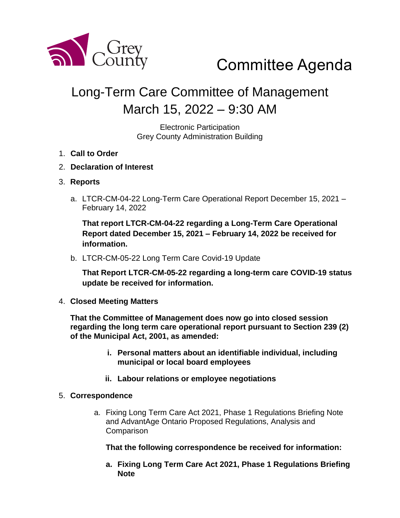

# Committee Agenda

# Long-Term Care Committee of Management March 15, 2022 – 9:30 AM

Electronic Participation Grey County Administration Building

- 1. **Call to Order**
- 2. **Declaration of Interest**
- 3. **Reports**
	- a. LTCR-CM-04-22 Long-Term Care Operational Report December 15, 2021 February 14, 2022

**That report LTCR-CM-04-22 regarding a Long-Term Care Operational Report dated December 15, 2021 – February 14, 2022 be received for information.** 

b. LTCR-CM-05-22 Long Term Care Covid-19 Update

**That Report LTCR-CM-05-22 regarding a long-term care COVID-19 status update be received for information.** 

4. **Closed Meeting Matters**

**That the Committee of Management does now go into closed session regarding the long term care operational report pursuant to Section 239 (2) of the Municipal Act, 2001, as amended:**

- **i. Personal matters about an identifiable individual, including municipal or local board employees**
- **ii. Labour relations or employee negotiations**

#### 5. **Correspondence**

a. Fixing Long Term Care Act 2021, Phase 1 Regulations Briefing Note and AdvantAge Ontario Proposed Regulations, Analysis and **Comparison** 

**That the following correspondence be received for information:**

**a. Fixing Long Term Care Act 2021, Phase 1 Regulations Briefing Note**